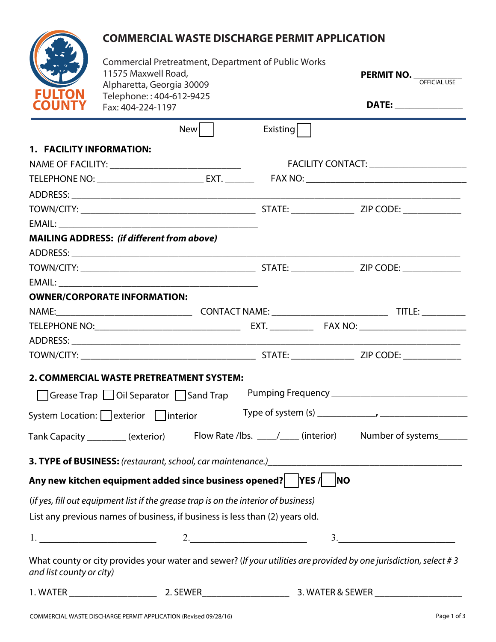# **COMMERCIAL WASTE DISCHARGE PERMIT APPLICATION**

| <b>FULTOI</b><br><b>COUNTY</b> |
|--------------------------------|

| <b>FULTON</b>            | <b>Commercial Pretreatment, Department of Public Works</b><br>11575 Maxwell Road,<br>Alpharetta, Georgia 30009<br>Telephone:: 404-612-9425 |     |          | <b>PERMIT NO.</b> OFFICIAL USE                                                                                             |
|--------------------------|--------------------------------------------------------------------------------------------------------------------------------------------|-----|----------|----------------------------------------------------------------------------------------------------------------------------|
| <b>OUNTY</b>             | Fax: 404-224-1197                                                                                                                          |     |          | DATE: ________________                                                                                                     |
|                          |                                                                                                                                            | New | Existing |                                                                                                                            |
| 1. FACILITY INFORMATION: |                                                                                                                                            |     |          |                                                                                                                            |
|                          |                                                                                                                                            |     |          | FACILITY CONTACT: ________________________                                                                                 |
|                          |                                                                                                                                            |     |          |                                                                                                                            |
|                          |                                                                                                                                            |     |          |                                                                                                                            |
|                          |                                                                                                                                            |     |          |                                                                                                                            |
|                          |                                                                                                                                            |     |          |                                                                                                                            |
|                          | <b>MAILING ADDRESS: (if different from above)</b>                                                                                          |     |          |                                                                                                                            |
|                          |                                                                                                                                            |     |          |                                                                                                                            |
|                          |                                                                                                                                            |     |          |                                                                                                                            |
|                          |                                                                                                                                            |     |          |                                                                                                                            |
|                          | <b>OWNER/CORPORATE INFORMATION:</b>                                                                                                        |     |          |                                                                                                                            |
|                          |                                                                                                                                            |     |          |                                                                                                                            |
|                          |                                                                                                                                            |     |          |                                                                                                                            |
|                          |                                                                                                                                            |     |          |                                                                                                                            |
|                          | 2. COMMERCIAL WASTE PRETREATMENT SYSTEM:                                                                                                   |     |          |                                                                                                                            |
|                          | Grease Trap   Oil Separator   Sand Trap                                                                                                    |     |          |                                                                                                                            |
|                          | System Location: exterior interior                                                                                                         |     |          |                                                                                                                            |
|                          | Tank Capacity _________(exterior)                                                                                                          |     |          | Flow Rate /lbs. _____/_____ (interior) Number of systems_______                                                            |
|                          |                                                                                                                                            |     |          | 3. TYPE of BUSINESS: (restaurant, school, car maintenance.)<br>2. TYPE of BUSINESS: (restaurant, school, car maintenance.) |
|                          | Any new kitchen equipment added since business opened? YES / NO                                                                            |     |          |                                                                                                                            |
|                          | (if yes, fill out equipment list if the grease trap is on the interior of business)                                                        |     |          |                                                                                                                            |
|                          | List any previous names of business, if business is less than (2) years old.                                                               |     |          |                                                                                                                            |
|                          | $1.$ $2.$                                                                                                                                  |     |          | $\begin{array}{c}\n3.\n\end{array}$                                                                                        |
| and list county or city) |                                                                                                                                            |     |          | What county or city provides your water and sewer? (If your utilities are provided by one jurisdiction, select #3          |

| , WATF <sup>r</sup> | <b>SEWER</b><br>. J L | WATER & SEWER<br>WA. |
|---------------------|-----------------------|----------------------|
|                     |                       |                      |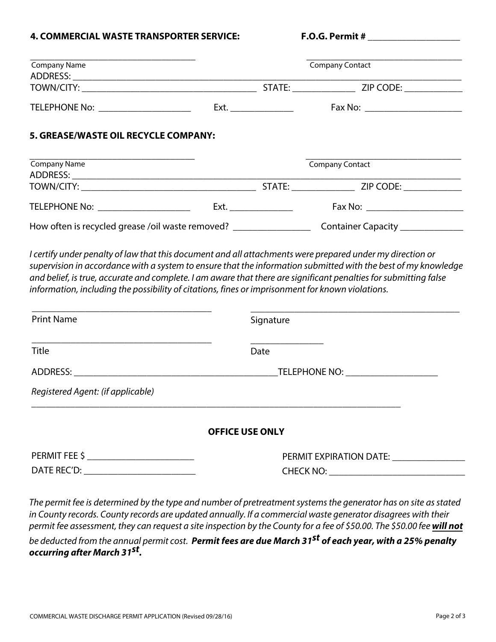#### **4. COMMERCIAL WASTE TRANSPORTER SERVICE: F.O.G. Permit #**

| Company Name                                                                                                                                   |                          | <b>Company Contact</b>                                                                                                                                                                                                                                                                                                                                                                                                                                                  |
|------------------------------------------------------------------------------------------------------------------------------------------------|--------------------------|-------------------------------------------------------------------------------------------------------------------------------------------------------------------------------------------------------------------------------------------------------------------------------------------------------------------------------------------------------------------------------------------------------------------------------------------------------------------------|
|                                                                                                                                                |                          |                                                                                                                                                                                                                                                                                                                                                                                                                                                                         |
|                                                                                                                                                |                          |                                                                                                                                                                                                                                                                                                                                                                                                                                                                         |
|                                                                                                                                                | Ext. ___________________ | Fax No: _________________________                                                                                                                                                                                                                                                                                                                                                                                                                                       |
| 5. GREASE/WASTE OIL RECYCLE COMPANY:                                                                                                           |                          |                                                                                                                                                                                                                                                                                                                                                                                                                                                                         |
| Company Name                                                                                                                                   |                          | Company Contact                                                                                                                                                                                                                                                                                                                                                                                                                                                         |
|                                                                                                                                                |                          |                                                                                                                                                                                                                                                                                                                                                                                                                                                                         |
|                                                                                                                                                |                          | TELEPHONE No: ________________________  Ext. _______________    Fax No: ___________________________                                                                                                                                                                                                                                                                                                                                                                     |
|                                                                                                                                                |                          |                                                                                                                                                                                                                                                                                                                                                                                                                                                                         |
|                                                                                                                                                |                          | How often is recycled grease /oil waste removed? ________________________________ Container Capacity _______________<br>I certify under penalty of law that this document and all attachments were prepared under my direction or<br>supervision in accordance with a system to ensure that the information submitted with the best of my knowledge<br>and belief, is true, accurate and complete. I am aware that there are significant penalties for submitting false |
| <b>Print Name</b>                                                                                                                              |                          | Signature                                                                                                                                                                                                                                                                                                                                                                                                                                                               |
|                                                                                                                                                | Date                     |                                                                                                                                                                                                                                                                                                                                                                                                                                                                         |
|                                                                                                                                                |                          | ADDRESS: TELEPHONE NO: TELEPHONE NO:                                                                                                                                                                                                                                                                                                                                                                                                                                    |
| information, including the possibility of citations, fines or imprisonment for known violations.<br>Title<br>Registered Agent: (if applicable) |                          |                                                                                                                                                                                                                                                                                                                                                                                                                                                                         |
|                                                                                                                                                | <b>OFFICE USE ONLY</b>   |                                                                                                                                                                                                                                                                                                                                                                                                                                                                         |
|                                                                                                                                                |                          | PERMIT EXPIRATION DATE: ________________                                                                                                                                                                                                                                                                                                                                                                                                                                |

be deducted from the annual permit cost. **Permit fees are due March 31st of each year, with a 25% penalty occurring after March 31st .**

permit fee assessment, they can request a site inspection by the County for a fee of \$50.00. The \$50.00 fee **will not**